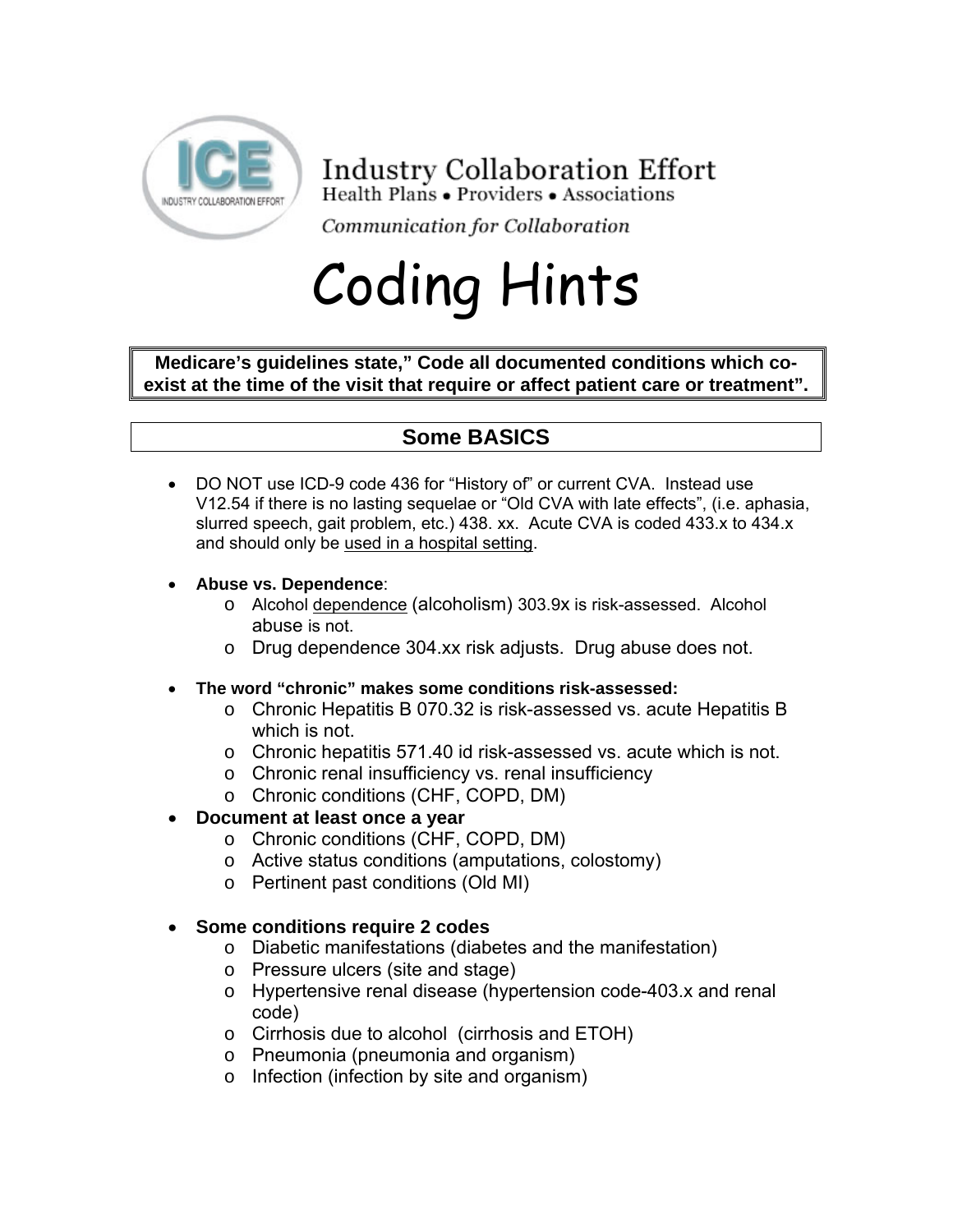

# **Industry Collaboration Effort**

Health Plans • Providers • Associations

Communication for Collaboration

# Coding Hints

**Medicare's guidelines state," Code all documented conditions which coexist at the time of the visit that require or affect patient care or treatment".** 

# **Some BASICS**

- DO NOT use ICD-9 code 436 for "History of" or current CVA. Instead use V12.54 if there is no lasting sequelae or "Old CVA with late effects", (i.e. aphasia, slurred speech, gait problem, etc.) 438. xx. Acute CVA is coded 433.x to 434.x and should only be used in a hospital setting.
- **Abuse vs. Dependence**:
	- o Alcohol dependence (alcoholism) 303.9x is risk-assessed. Alcohol abuse is not.
	- o Drug dependence 304.xx risk adjusts. Drug abuse does not.
- **The word "chronic" makes some conditions risk-assessed:** 
	- o Chronic Hepatitis B 070.32 is risk-assessed vs. acute Hepatitis B which is not.
	- o Chronic hepatitis 571.40 id risk-assessed vs. acute which is not.
	- o Chronic renal insufficiency vs. renal insufficiency
	- o Chronic conditions (CHF, COPD, DM)
- **Document at least once a year** 
	- o Chronic conditions (CHF, COPD, DM)
	- o Active status conditions (amputations, colostomy)
	- o Pertinent past conditions (Old MI)
- **Some conditions require 2 codes** 
	- o Diabetic manifestations (diabetes and the manifestation)
	- o Pressure ulcers (site and stage)
	- o Hypertensive renal disease (hypertension code-403.x and renal code)
	- o Cirrhosis due to alcohol (cirrhosis and ETOH)
	- o Pneumonia (pneumonia and organism)
	- o Infection (infection by site and organism)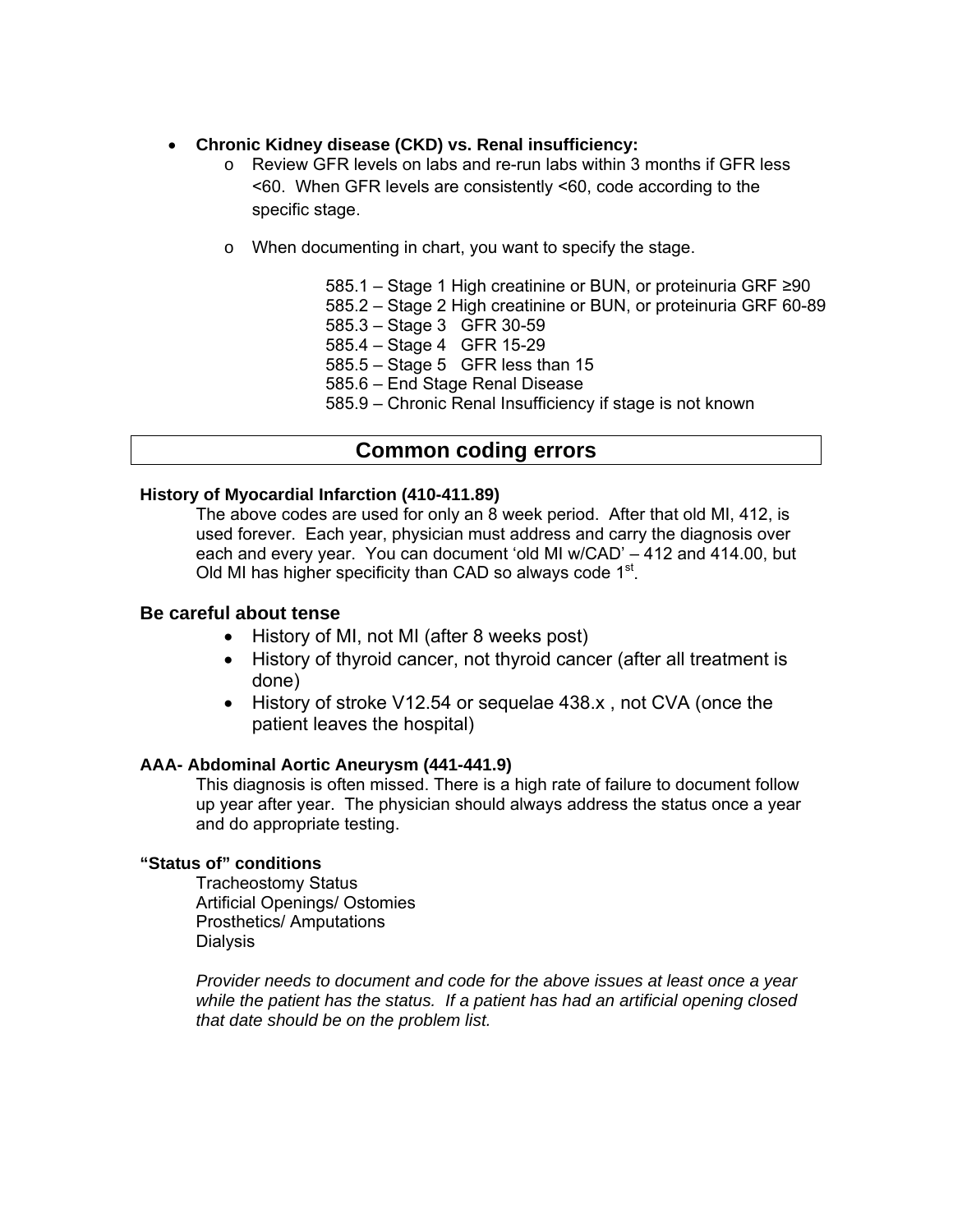#### • **Chronic Kidney disease (CKD) vs. Renal insufficiency:**

- o Review GFR levels on labs and re-run labs within 3 months if GFR less <60. When GFR levels are consistently <60, code according to the specific stage.
- o When documenting in chart, you want to specify the stage.

 585.1 – Stage 1 High creatinine or BUN, or proteinuria GRF ≥90 585.2 – Stage 2 High creatinine or BUN, or proteinuria GRF 60-89 585.3 – Stage 3 GFR 30-59 585.4 – Stage 4 GFR 15-29 585.5 – Stage 5 GFR less than 15 585.6 – End Stage Renal Disease 585.9 – Chronic Renal Insufficiency if stage is not known

## **Common coding errors**

#### **History of Myocardial Infarction (410-411.89)**

The above codes are used for only an 8 week period. After that old MI, 412, is used forever. Each year, physician must address and carry the diagnosis over each and every year. You can document 'old MI w/CAD' – 412 and 414.00, but Old MI has higher specificity than CAD so always code  $1<sup>st</sup>$ .

#### **Be careful about tense**

- History of MI, not MI (after 8 weeks post)
- History of thyroid cancer, not thyroid cancer (after all treatment is done)
- History of stroke V12.54 or sequelae 438.x , not CVA (once the patient leaves the hospital)

#### **AAA- Abdominal Aortic Aneurysm (441-441.9)**

This diagnosis is often missed. There is a high rate of failure to document follow up year after year. The physician should always address the status once a year and do appropriate testing.

#### **"Status of" conditions**

Tracheostomy Status Artificial Openings/ Ostomies Prosthetics/ Amputations **Dialysis** 

*Provider needs to document and code for the above issues at least once a year while the patient has the status. If a patient has had an artificial opening closed that date should be on the problem list.*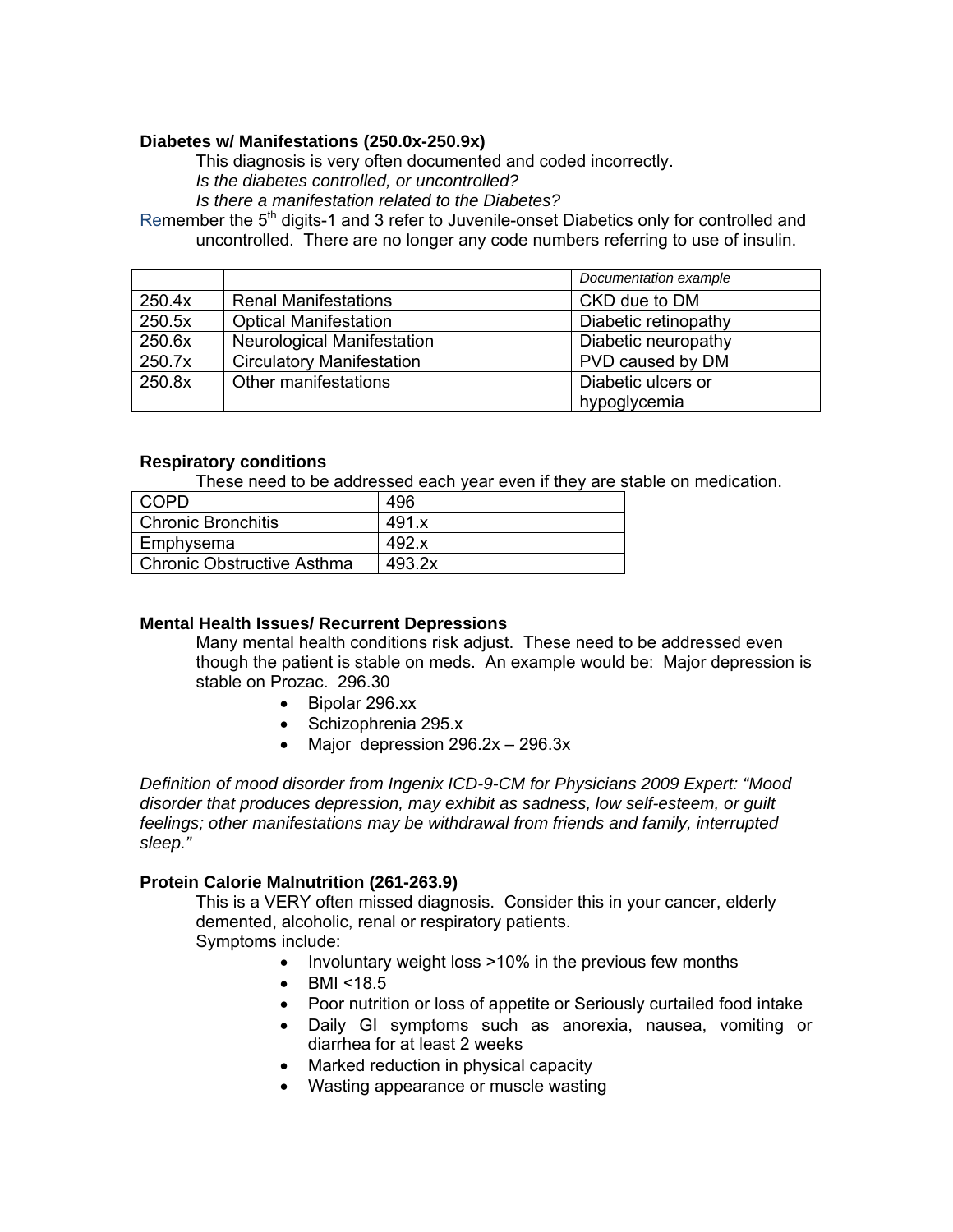#### **Diabetes w/ Manifestations (250.0x-250.9x)**

This diagnosis is very often documented and coded incorrectly.

*Is the diabetes controlled, or uncontrolled?* 

*Is there a manifestation related to the Diabetes?* 

Remember the 5<sup>th</sup> digits-1 and 3 refer to Juvenile-onset Diabetics only for controlled and uncontrolled. There are no longer any code numbers referring to use of insulin.

|        |                                   | Documentation example |
|--------|-----------------------------------|-----------------------|
| 250.4x | <b>Renal Manifestations</b>       | CKD due to DM         |
| 250.5x | <b>Optical Manifestation</b>      | Diabetic retinopathy  |
| 250.6x | <b>Neurological Manifestation</b> | Diabetic neuropathy   |
| 250.7x | <b>Circulatory Manifestation</b>  | PVD caused by DM      |
| 250.8x | Other manifestations              | Diabetic ulcers or    |
|        |                                   | hypoglycemia          |

#### **Respiratory conditions**

These need to be addressed each year even if they are stable on medication.

| COPD                              | 496    |
|-----------------------------------|--------|
| <b>Chronic Bronchitis</b>         | 491.x  |
| Emphysema                         | 492.x  |
| <b>Chronic Obstructive Asthma</b> | 493.2x |

#### **Mental Health Issues/ Recurrent Depressions**

Many mental health conditions risk adjust. These need to be addressed even though the patient is stable on meds. An example would be: Major depression is stable on Prozac. 296.30

- Bipolar 296.xx
- Schizophrenia 295.x
- Major depression 296.2x 296.3x

*Definition of mood disorder from Ingenix ICD-9-CM for Physicians 2009 Expert: "Mood disorder that produces depression, may exhibit as sadness, low self-esteem, or guilt feelings; other manifestations may be withdrawal from friends and family, interrupted sleep."*

#### **Protein Calorie Malnutrition (261-263.9)**

This is a VERY often missed diagnosis. Consider this in your cancer, elderly demented, alcoholic, renal or respiratory patients. Symptoms include:

• Involuntary weight loss >10% in the previous few months

- BMI <18.5
- Poor nutrition or loss of appetite or Seriously curtailed food intake
- Daily GI symptoms such as anorexia, nausea, vomiting or diarrhea for at least 2 weeks
- Marked reduction in physical capacity
- Wasting appearance or muscle wasting